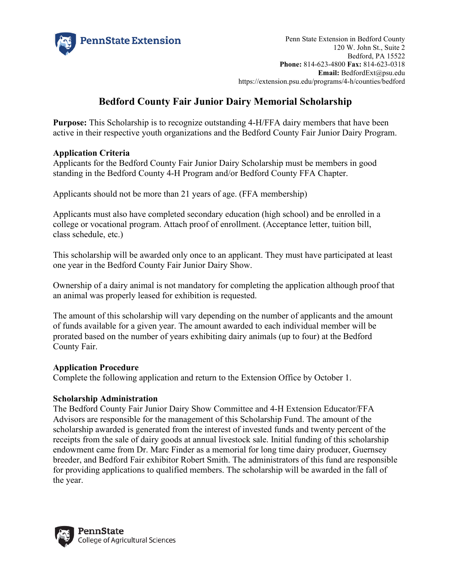

Penn State Extension in Bedford County 120 W. John St., Suite 2 Bedford, PA 15522 **Phone:** 814-623-4800 **Fax:** 814-623-0318 **Email:** BedfordExt@psu.edu https://extension.psu.edu/programs/4-h/counties/bedford

# **Bedford County Fair Junior Dairy Memorial Scholarship**

**Purpose:** This Scholarship is to recognize outstanding 4-H/FFA dairy members that have been active in their respective youth organizations and the Bedford County Fair Junior Dairy Program.

### **Application Criteria**

Applicants for the Bedford County Fair Junior Dairy Scholarship must be members in good standing in the Bedford County 4-H Program and/or Bedford County FFA Chapter.

Applicants should not be more than 21 years of age. (FFA membership)

Applicants must also have completed secondary education (high school) and be enrolled in a college or vocational program. Attach proof of enrollment. (Acceptance letter, tuition bill, class schedule, etc.)

This scholarship will be awarded only once to an applicant. They must have participated at least one year in the Bedford County Fair Junior Dairy Show.

Ownership of a dairy animal is not mandatory for completing the application although proof that an animal was properly leased for exhibition is requested.

The amount of this scholarship will vary depending on the number of applicants and the amount of funds available for a given year. The amount awarded to each individual member will be prorated based on the number of years exhibiting dairy animals (up to four) at the Bedford County Fair.

## **Application Procedure**

Complete the following application and return to the Extension Office by October 1.

#### **Scholarship Administration**

The Bedford County Fair Junior Dairy Show Committee and 4-H Extension Educator/FFA Advisors are responsible for the management of this Scholarship Fund. The amount of the scholarship awarded is generated from the interest of invested funds and twenty percent of the receipts from the sale of dairy goods at annual livestock sale. Initial funding of this scholarship endowment came from Dr. Marc Finder as a memorial for long time dairy producer, Guernsey breeder, and Bedford Fair exhibitor Robert Smith. The administrators of this fund are responsible for providing applications to qualified members. The scholarship will be awarded in the fall of the year.